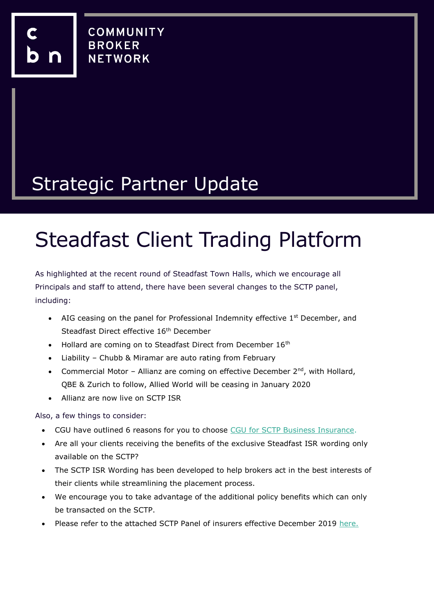## Strategic Partner Update

# Steadfast Client Trading Platform

As highlighted at the recent round of Steadfast Town Halls, which we encourage all Principals and staff to attend, there have been several changes to the SCTP panel, including:

- AIG ceasing on the panel for Professional Indemnity effective  $1<sup>st</sup>$  December, and Steadfast Direct effective 16<sup>th</sup> December
- Hollard are coming on to Steadfast Direct from December 16<sup>th</sup>
- Liability Chubb & Miramar are auto rating from February
- Commercial Motor Allianz are coming on effective December  $2^{nd}$ , with Hollard, QBE & Zurich to follow, Allied World will be ceasing in January 2020
- Allianz are now live on SCTP ISR

Also, a few things to consider:

- CGU have outlined 6 reasons for you to choose [CGU for SCTP Business Insurance.](https://www.cbnet.com.au/wp-content/uploads/2019/12/Top-6-reasons-to-choose-CGU-for-SCTP-Steadfast.pdf)
- Are all your clients receiving the benefits of the exclusive Steadfast ISR wording only available on the SCTP?
- The SCTP ISR Wording has been developed to help brokers act in the best interests of their clients while streamlining the placement process.
- We encourage you to take advantage of the additional policy benefits which can only be transacted on the SCTP.
- Please refer to the attached SCTP Panel of insurers effective December 2019 [here.](https://www.cbnet.com.au/wp-content/uploads/2019/12/SCTP-Panel-December-2019.pdf)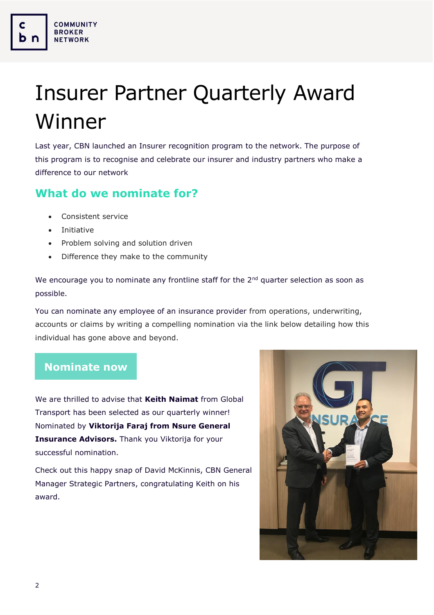# Insurer Partner Quarterly Award Winner

Last year, CBN launched an Insurer recognition program to the network. The purpose of this program is to recognise and celebrate our insurer and industry partners who make a difference to our network

#### **What do we nominate for?**

- Consistent service
- Initiative

**COMMUNITY BROKER** 

**NETWORK** 

- Problem solving and solution driven
- Difference they make to the community

We encourage you to nominate any frontline staff for the  $2<sup>nd</sup>$  quarter selection as soon as possible.

You can nominate any employee of an insurance provider from operations, underwriting, accounts or claims by writing a compelling nomination via the link below detailing how this individual has gone above and beyond.

#### **[Nominate now](https://www.surveymonkey.com/r/8YTWC7L)**

We are thrilled to advise that **Keith Naimat** from Global Transport has been selected as our quarterly winner! Nominated by **Viktorija Faraj from Nsure General Insurance Advisors.** Thank you Viktorija for your successful nomination.

Check out this happy snap of David McKinnis, CBN General Manager Strategic Partners, congratulating Keith on his award.

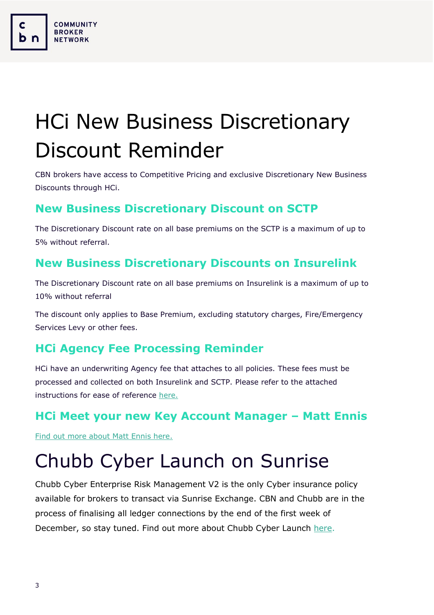# HCi New Business Discretionary Discount Reminder

CBN brokers have access to Competitive Pricing and exclusive Discretionary New Business Discounts through HCi.

#### **New Business Discretionary Discount on SCTP**

The Discretionary Discount rate on all base premiums on the SCTP is a maximum of up to 5% without referral.

#### **New Business Discretionary Discounts on Insurelink**

The Discretionary Discount rate on all base premiums on Insurelink is a maximum of up to 10% without referral

The discount only applies to Base Premium, excluding statutory charges, Fire/Emergency Services Levy or other fees.

#### **HCi Agency Fee Processing Reminder**

HCi have an underwriting Agency fee that attaches to all policies. These fees must be processed and collected on both Insurelink and SCTP. Please refer to the attached instructions for ease of reference [here.](https://www.cbnet.com.au/wp-content/uploads/2019/12/Underwriter-Agency-Fees-HCi.pdf)

#### **HCi Meet your new Key Account Manager – Matt Ennis**

[Find out more about Matt Ennis here.](http://email.hollardcommercial.com.au/t/ViewEmail/r/FBEA4DE26ACD34CC2540EF23F30FEDED)

**COMMUNITY BROKER NETWORK** 

### Chubb Cyber Launch on Sunrise

Chubb Cyber Enterprise Risk Management V2 is the only Cyber insurance policy available for brokers to transact via Sunrise Exchange. CBN and Chubb are in the process of finalising all ledger connections by the end of the first week of December, so stay tuned. Find out more about Chubb Cyber Launch [here.](https://www.cbnet.com.au/wp-content/uploads/2019/12/Cyber-on-Sunrise_CBN-article.docx)